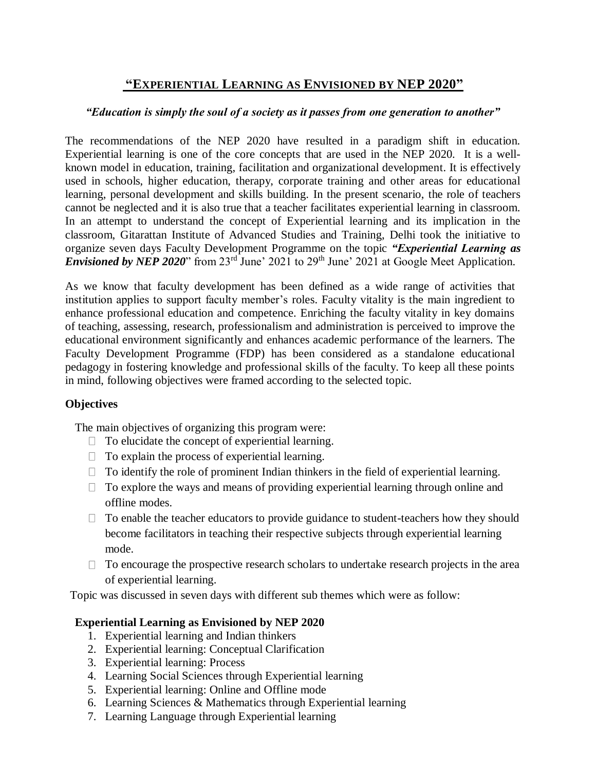# **"EXPERIENTIAL LEARNING AS ENVISIONED BY NEP 2020"**

#### *"Education is simply the soul of a society as it passes from one generation to another"*

The recommendations of the NEP 2020 have resulted in a paradigm shift in education. Experiential learning is one of the core concepts that are used in the NEP 2020. It is a wellknown model in education, training, facilitation and organizational development. It is effectively used in schools, higher education, therapy, corporate training and other areas for educational learning, personal development and skills building. In the present scenario, the role of teachers cannot be neglected and it is also true that a teacher facilitates experiential learning in classroom. In an attempt to understand the concept of Experiential learning and its implication in the classroom, Gitarattan Institute of Advanced Studies and Training, Delhi took the initiative to organize seven days Faculty Development Programme on the topic *"Experiential Learning as Envisioned by NEP 2020*" from 23<sup>rd</sup> June' 2021 to 29<sup>th</sup> June' 2021 at Google Meet Application.

As we know that faculty development has been defined as a wide range of activities that institution applies to support faculty member's roles. Faculty vitality is the main ingredient to enhance professional education and competence. Enriching the faculty vitality in key domains of teaching, assessing, research, professionalism and administration is perceived to improve the educational environment significantly and enhances academic performance of the learners. The Faculty Development Programme (FDP) has been considered as a standalone educational pedagogy in fostering knowledge and professional skills of the faculty. To keep all these points in mind, following objectives were framed according to the selected topic.

### **Objectives**

The main objectives of organizing this program were:

- $\Box$  To elucidate the concept of experiential learning.
- $\Box$  To explain the process of experiential learning.
- $\Box$  To identify the role of prominent Indian thinkers in the field of experiential learning.
- $\Box$  To explore the ways and means of providing experiential learning through online and offline modes.
- $\Box$  To enable the teacher educators to provide guidance to student-teachers how they should become facilitators in teaching their respective subjects through experiential learning mode.
- $\Box$  To encourage the prospective research scholars to undertake research projects in the area of experiential learning.

Topic was discussed in seven days with different sub themes which were as follow:

### **Experiential Learning as Envisioned by NEP 2020**

- 1. Experiential learning and Indian thinkers
- 2. Experiential learning: Conceptual Clarification
- 3. Experiential learning: Process
- 4. Learning Social Sciences through Experiential learning
- 5. Experiential learning: Online and Offline mode
- 6. Learning Sciences & Mathematics through Experiential learning
- 7. Learning Language through Experiential learning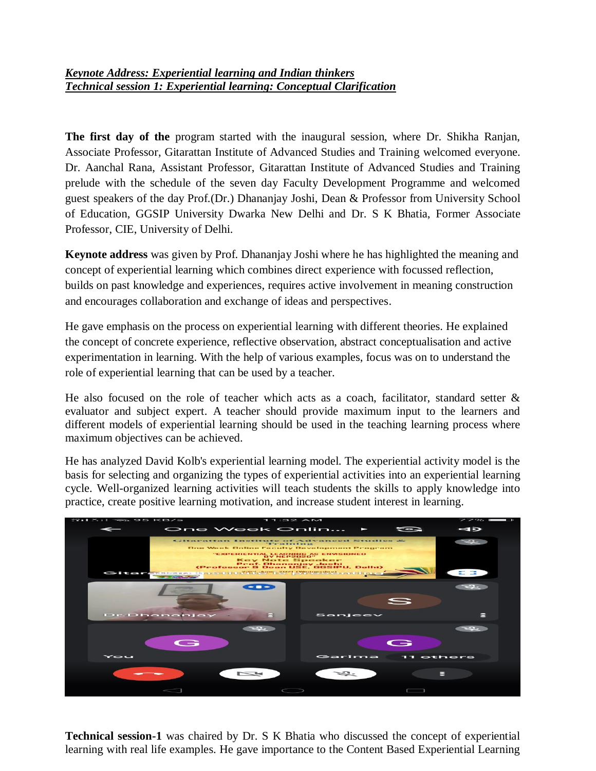### *Keynote Address: Experiential learning and Indian thinkers Technical session 1: Experiential learning: Conceptual Clarification*

**The first day of the** program started with the inaugural session, where Dr. Shikha Ranjan, Associate Professor, Gitarattan Institute of Advanced Studies and Training welcomed everyone. Dr. Aanchal Rana, Assistant Professor, Gitarattan Institute of Advanced Studies and Training prelude with the schedule of the seven day Faculty Development Programme and welcomed guest speakers of the day Prof.(Dr.) Dhananjay Joshi, Dean & Professor from University School of Education, GGSIP University Dwarka New Delhi and Dr. S K Bhatia, Former Associate Professor, CIE, University of Delhi.

**Keynote address** was given by Prof. Dhananjay Joshi where he has highlighted the meaning and concept of experiential learning which combines direct experience with focussed reflection, builds on past knowledge and experiences, requires active involvement in meaning construction and encourages collaboration and exchange of ideas and perspectives.

He gave emphasis on the process on experiential learning with different theories. He explained the concept of concrete experience, reflective observation, abstract conceptualisation and active experimentation in learning. With the help of various examples, focus was on to understand the role of experiential learning that can be used by a teacher.

He also focused on the role of teacher which acts as a coach, facilitator, standard setter  $\&$ evaluator and subject expert. A teacher should provide maximum input to the learners and different models of experiential learning should be used in the teaching learning process where maximum objectives can be achieved.

He has analyzed David Kolb's experiential learning model. The experiential activity model is the basis for selecting and organizing the types of experiential activities into an experiential learning cycle. Well-organized learning activities will teach students the skills to apply knowledge into practice, create positive learning motivation, and increase student interest in learning.



**Technical session-1** was chaired by Dr. S K Bhatia who discussed the concept of experiential learning with real life examples. He gave importance to the Content Based Experiential Learning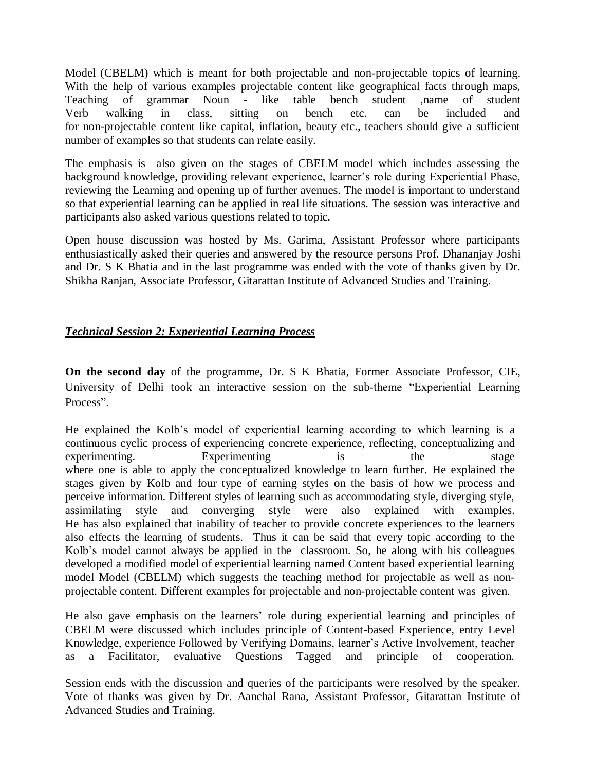Model (CBELM) which is meant for both projectable and non-projectable topics of learning. With the help of various examples projectable content like geographical facts through maps, Teaching of grammar Noun - like table bench student ,name of student Verb walking in class, sitting on bench etc. can be included and for non-projectable content like capital, inflation, beauty etc., teachers should give a sufficient number of examples so that students can relate easily.

The emphasis is also given on the stages of CBELM model which includes assessing the background knowledge, providing relevant experience, learner's role during Experiential Phase, reviewing the Learning and opening up of further avenues. The model is important to understand so that experiential learning can be applied in real life situations. The session was interactive and participants also asked various questions related to topic.

Open house discussion was hosted by Ms. Garima, Assistant Professor where participants enthusiastically asked their queries and answered by the resource persons Prof. Dhananjay Joshi and Dr. S K Bhatia and in the last programme was ended with the vote of thanks given by Dr. Shikha Ranjan, Associate Professor, Gitarattan Institute of Advanced Studies and Training.

#### *Technical Session 2: Experiential Learning Process*

**On the second day** of the programme, Dr. S K Bhatia, Former Associate Professor, CIE, University of Delhi took an interactive session on the sub-theme "Experiential Learning Process".

He explained the Kolb's model of experiential learning according to which learning is a continuous cyclic process of experiencing concrete experience, reflecting, conceptualizing and experimenting. Experimenting is the stage where one is able to apply the conceptualized knowledge to learn further. He explained the stages given by Kolb and four type of earning styles on the basis of how we process and perceive information. Different styles of learning such as accommodating style, diverging style, assimilating style and converging style were also explained with examples. He has also explained that inability of teacher to provide concrete experiences to the learners also effects the learning of students. Thus it can be said that every topic according to the Kolb's model cannot always be applied in the classroom. So, he along with his colleagues developed a modified model of experiential learning named Content based experiential learning model Model (CBELM) which suggests the teaching method for projectable as well as nonprojectable content. Different examples for projectable and non-projectable content was given.

He also gave emphasis on the learners' role during experiential learning and principles of CBELM were discussed which includes principle of Content-based Experience, entry Level Knowledge, experience Followed by Verifying Domains, learner's Active Involvement, teacher as a Facilitator, evaluative Questions Tagged and principle of cooperation.

Session ends with the discussion and queries of the participants were resolved by the speaker. Vote of thanks was given by Dr. Aanchal Rana, Assistant Professor, Gitarattan Institute of Advanced Studies and Training.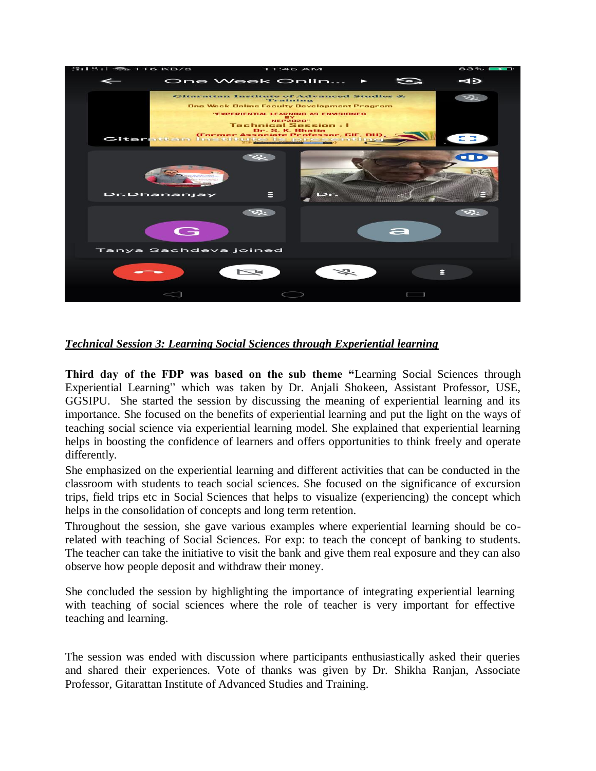

### *Technical Session 3: Learning Social Sciences through Experiential learning*

**Third day of the FDP was based on the sub theme "**Learning Social Sciences through Experiential Learning" which was taken by Dr. Anjali Shokeen, Assistant Professor, USE, GGSIPU. She started the session by discussing the meaning of experiential learning and its importance. She focused on the benefits of experiential learning and put the light on the ways of teaching social science via experiential learning model. She explained that experiential learning helps in boosting the confidence of learners and offers opportunities to think freely and operate differently.

She emphasized on the experiential learning and different activities that can be conducted in the classroom with students to teach social sciences. She focused on the significance of excursion trips, field trips etc in Social Sciences that helps to visualize (experiencing) the concept which helps in the consolidation of concepts and long term retention.

Throughout the session, she gave various examples where experiential learning should be corelated with teaching of Social Sciences. For exp: to teach the concept of banking to students. The teacher can take the initiative to visit the bank and give them real exposure and they can also observe how people deposit and withdraw their money.

She concluded the session by highlighting the importance of integrating experiential learning with teaching of social sciences where the role of teacher is very important for effective teaching and learning.

The session was ended with discussion where participants enthusiastically asked their queries and shared their experiences. Vote of thanks was given by Dr. Shikha Ranjan, Associate Professor, Gitarattan Institute of Advanced Studies and Training.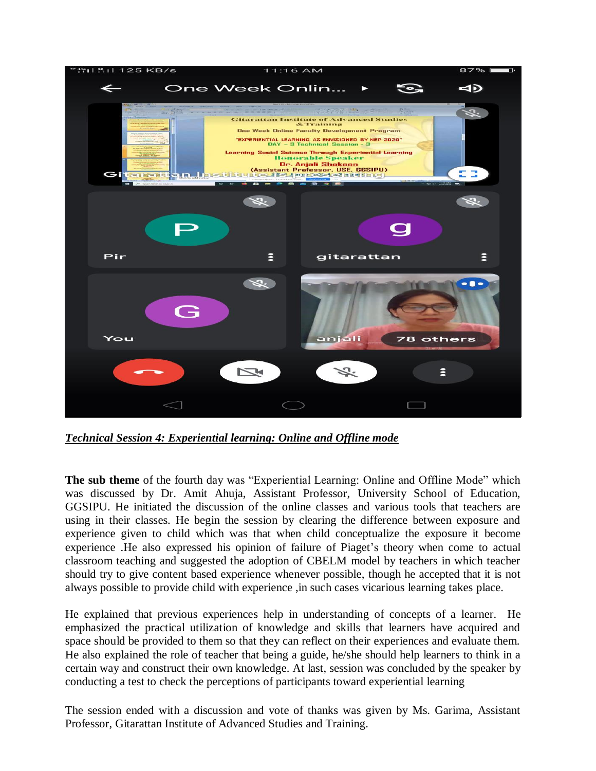

*Technical Session 4: Experiential learning: Online and Offline mode*

**The sub theme** of the fourth day was "Experiential Learning: Online and Offline Mode" which was discussed by Dr. Amit Ahuja, Assistant Professor, University School of Education, GGSIPU. He initiated the discussion of the online classes and various tools that teachers are using in their classes. He begin the session by clearing the difference between exposure and experience given to child which was that when child conceptualize the exposure it become experience .He also expressed his opinion of failure of Piaget's theory when come to actual classroom teaching and suggested the adoption of CBELM model by teachers in which teacher should try to give content based experience whenever possible, though he accepted that it is not always possible to provide child with experience ,in such cases vicarious learning takes place.

He explained that previous experiences help in understanding of concepts of a learner. He emphasized the practical utilization of knowledge and skills that learners have acquired and space should be provided to them so that they can reflect on their experiences and evaluate them. He also explained the role of teacher that being a guide, he/she should help learners to think in a certain way and construct their own knowledge. At last, session was concluded by the speaker by conducting a test to check the perceptions of participants toward experiential learning

The session ended with a discussion and vote of thanks was given by Ms. Garima, Assistant Professor, Gitarattan Institute of Advanced Studies and Training.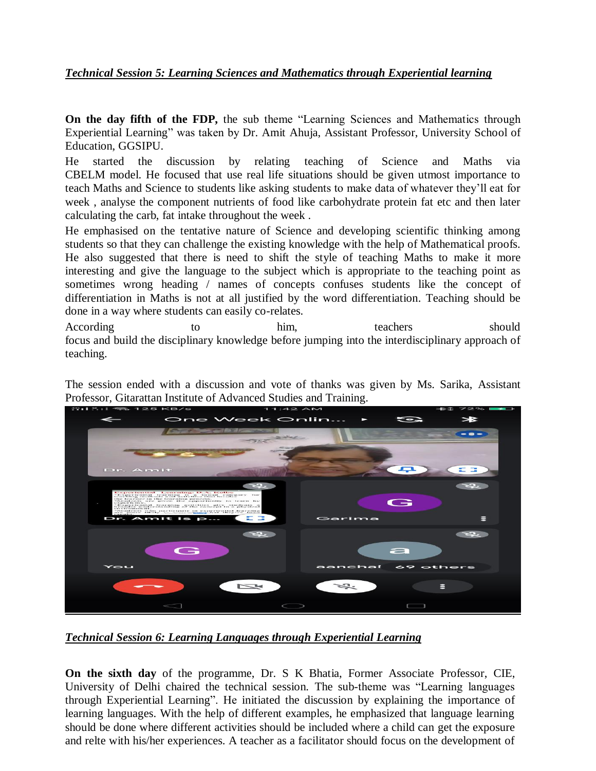## *Technical Session 5: Learning Sciences and Mathematics through Experiential learning*

**On the day fifth of the FDP,** the sub theme "Learning Sciences and Mathematics through Experiential Learning" was taken by Dr. Amit Ahuja, Assistant Professor, University School of Education, GGSIPU.

He started the discussion by relating teaching of Science and Maths via CBELM model. He focused that use real life situations should be given utmost importance to teach Maths and Science to students like asking students to make data of whatever they'll eat for week , analyse the component nutrients of food like carbohydrate protein fat etc and then later calculating the carb, fat intake throughout the week .

He emphasised on the tentative nature of Science and developing scientific thinking among students so that they can challenge the existing knowledge with the help of Mathematical proofs. He also suggested that there is need to shift the style of teaching Maths to make it more interesting and give the language to the subject which is appropriate to the teaching point as sometimes wrong heading / names of concepts confuses students like the concept of differentiation in Maths is not at all justified by the word differentiation. Teaching should be done in a way where students can easily co-relates.

According to to him, teachers should focus and build the disciplinary knowledge before jumping into the interdisciplinary approach of teaching.

The session ended with a discussion and vote of thanks was given by Ms. Sarika, Assistant Professor, Gitarattan Institute of Advanced Studies and Training.



*Technical Session 6: Learning Languages through Experiential Learning* 

**On the sixth day** of the programme, Dr. S K Bhatia, Former Associate Professor, CIE, University of Delhi chaired the technical session. The sub-theme was "Learning languages through Experiential Learning". He initiated the discussion by explaining the importance of learning languages. With the help of different examples, he emphasized that language learning should be done where different activities should be included where a child can get the exposure and relte with his/her experiences. A teacher as a facilitator should focus on the development of